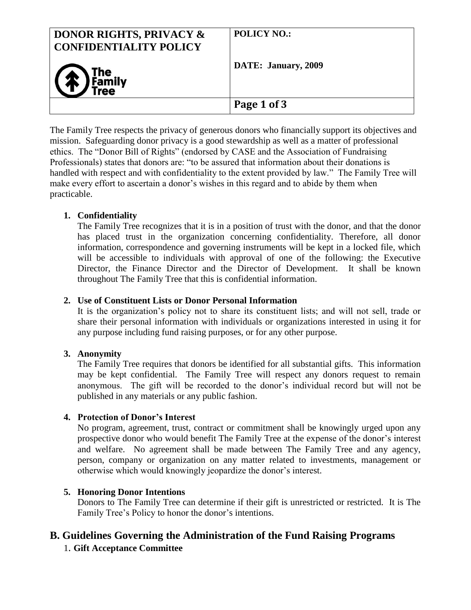| <b>DONOR RIGHTS, PRIVACY &amp;</b><br><b>CONFIDENTIALITY POLICY</b> | <b>POLICY NO.:</b>  |
|---------------------------------------------------------------------|---------------------|
| The Family                                                          | DATE: January, 2009 |
|                                                                     | Page 1 of 3         |

The Family Tree respects the privacy of generous donors who financially support its objectives and mission. Safeguarding donor privacy is a good stewardship as well as a matter of professional ethics. The "Donor Bill of Rights" (endorsed by CASE and the Association of Fundraising Professionals) states that donors are: "to be assured that information about their donations is handled with respect and with confidentiality to the extent provided by law." The Family Tree will make every effort to ascertain a donor's wishes in this regard and to abide by them when practicable.

## **1. Confidentiality**

The Family Tree recognizes that it is in a position of trust with the donor, and that the donor has placed trust in the organization concerning confidentiality. Therefore, all donor information, correspondence and governing instruments will be kept in a locked file, which will be accessible to individuals with approval of one of the following: the Executive Director, the Finance Director and the Director of Development. It shall be known throughout The Family Tree that this is confidential information.

### **2. Use of Constituent Lists or Donor Personal Information**

It is the organization's policy not to share its constituent lists; and will not sell, trade or share their personal information with individuals or organizations interested in using it for any purpose including fund raising purposes, or for any other purpose.

## **3. Anonymity**

The Family Tree requires that donors be identified for all substantial gifts. This information may be kept confidential. The Family Tree will respect any donors request to remain anonymous. The gift will be recorded to the donor's individual record but will not be published in any materials or any public fashion.

#### **4. Protection of Donor's Interest**

No program, agreement, trust, contract or commitment shall be knowingly urged upon any prospective donor who would benefit The Family Tree at the expense of the donor's interest and welfare. No agreement shall be made between The Family Tree and any agency, person, company or organization on any matter related to investments, management or otherwise which would knowingly jeopardize the donor's interest.

#### **5. Honoring Donor Intentions**

Donors to The Family Tree can determine if their gift is unrestricted or restricted. It is The Family Tree's Policy to honor the donor's intentions.

# **B. Guidelines Governing the Administration of the Fund Raising Programs**

## 1. **Gift Acceptance Committee**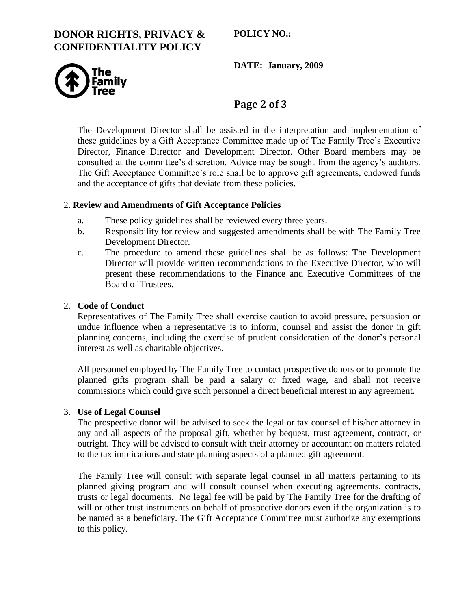| <b>DONOR RIGHTS, PRIVACY &amp;</b><br><b>CONFIDENTIALITY POLICY</b> | <b>POLICY NO.:</b>  |
|---------------------------------------------------------------------|---------------------|
| (1) The Tree                                                        | DATE: January, 2009 |
|                                                                     | Page 2 of 3         |

The Development Director shall be assisted in the interpretation and implementation of these guidelines by a Gift Acceptance Committee made up of The Family Tree's Executive Director, Finance Director and Development Director. Other Board members may be consulted at the committee's discretion. Advice may be sought from the agency's auditors. The Gift Acceptance Committee's role shall be to approve gift agreements, endowed funds and the acceptance of gifts that deviate from these policies.

#### 2. **Review and Amendments of Gift Acceptance Policies**

- a. These policy guidelines shall be reviewed every three years.
- b. Responsibility for review and suggested amendments shall be with The Family Tree Development Director.
- c. The procedure to amend these guidelines shall be as follows: The Development Director will provide written recommendations to the Executive Director, who will present these recommendations to the Finance and Executive Committees of the Board of Trustees.

#### 2. **Code of Conduct**

Representatives of The Family Tree shall exercise caution to avoid pressure, persuasion or undue influence when a representative is to inform, counsel and assist the donor in gift planning concerns, including the exercise of prudent consideration of the donor's personal interest as well as charitable objectives.

All personnel employed by The Family Tree to contact prospective donors or to promote the planned gifts program shall be paid a salary or fixed wage, and shall not receive commissions which could give such personnel a direct beneficial interest in any agreement.

#### 3. **Use of Legal Counsel**

The prospective donor will be advised to seek the legal or tax counsel of his/her attorney in any and all aspects of the proposal gift, whether by bequest, trust agreement, contract, or outright. They will be advised to consult with their attorney or accountant on matters related to the tax implications and state planning aspects of a planned gift agreement.

The Family Tree will consult with separate legal counsel in all matters pertaining to its planned giving program and will consult counsel when executing agreements, contracts, trusts or legal documents. No legal fee will be paid by The Family Tree for the drafting of will or other trust instruments on behalf of prospective donors even if the organization is to be named as a beneficiary. The Gift Acceptance Committee must authorize any exemptions to this policy.